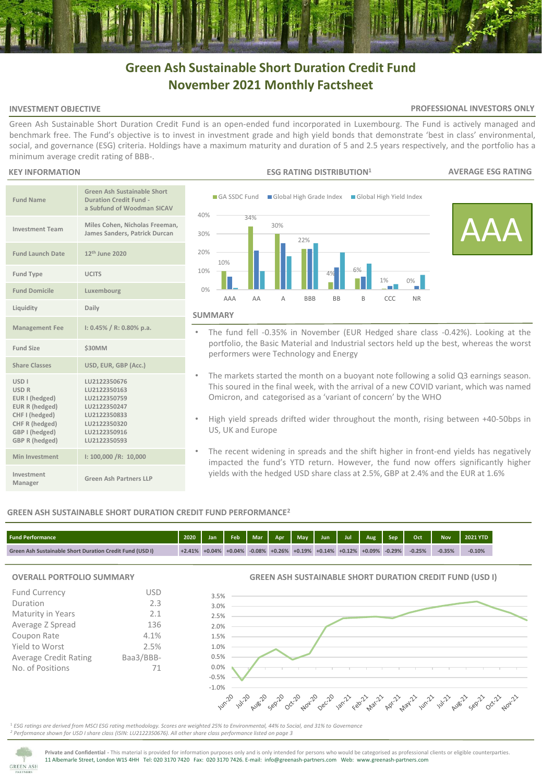# **Green Ash Sustainable Short Duration Credit Fund November 2021 Monthly Factsheet**

# **INVESTMENT OBJECTIVE**

# **PROFESSIONAL INVESTORS ONLY**

Green Ash Sustainable Short Duration Credit Fund is an open-ended fund incorporated in Luxembourg. The Fund is actively managed and benchmark free. The Fund's objective is to invest in investment grade and high yield bonds that demonstrate 'best in class' environmental, social, and governance (ESG) criteria. Holdings have a maximum maturity and duration of 5 and 2.5 years respectively, and the portfolio has a minimum average credit rating of BBB-.

# **KEY INFORMATION**

| <b>Fund Name</b>                                                                                                                                                 | <b>Green Ash Sustainable Short</b><br><b>Duration Credit Fund -</b><br>a Subfund of Woodman SICAV                            |
|------------------------------------------------------------------------------------------------------------------------------------------------------------------|------------------------------------------------------------------------------------------------------------------------------|
| <b>Investment Team</b>                                                                                                                                           | Miles Cohen, Nicholas Freeman,<br>James Sanders, Patrick Durcan                                                              |
| <b>Fund Launch Date</b>                                                                                                                                          | 12 <sup>th</sup> June 2020                                                                                                   |
| <b>Fund Type</b>                                                                                                                                                 | <b>UCITS</b>                                                                                                                 |
| <b>Fund Domicile</b>                                                                                                                                             | Luxembourg                                                                                                                   |
| Liquidity                                                                                                                                                        | Daily                                                                                                                        |
| <b>Management Fee</b>                                                                                                                                            | $1: 0.45\% / R: 0.80\%$ p.a.                                                                                                 |
| <b>Fund Size</b>                                                                                                                                                 | <b>\$30MM</b>                                                                                                                |
| <b>Share Classes</b>                                                                                                                                             | USD, EUR, GBP (Acc.)                                                                                                         |
| <b>USD<sub>I</sub></b><br><b>USD R</b><br>EUR I (hedged)<br><b>EUR R (hedged)</b><br>CHF I (hedged)<br>CHF R (hedged)<br>GBP I (hedged)<br><b>GBP R (hedged)</b> | LU2122350676<br>LU2122350163<br>LU2122350759<br>LU2122350247<br>LU2122350833<br>LU2122350320<br>LU2122350916<br>LU2122350593 |
| Min Investment                                                                                                                                                   | 1: 100,000 / R: 10,000                                                                                                       |
| Investment<br>Manager                                                                                                                                            | <b>Green Ash Partners LLP</b>                                                                                                |



- The fund fell -0.35% in November (EUR Hedged share class -0.42%). Looking at the portfolio, the Basic Material and Industrial sectors held up the best, whereas the worst performers were Technology and Energy
- The markets started the month on a buoyant note following a solid Q3 earnings season. This soured in the final week, with the arrival of a new COVID variant, which was named Omicron, and categorised as a 'variant of concern' by the WHO
- High yield spreads drifted wider throughout the month, rising between +40-50bps in US, UK and Europe
- The recent widening in spreads and the shift higher in front-end yields has negatively impacted the fund's YTD return. However, the fund now offers significantly higher yields with the hedged USD share class at 2.5%, GBP at 2.4% and the EUR at 1.6%

# **GREEN ASH SUSTAINABLE SHORT DURATION CREDIT FUND PERFORMANCE<sup>2</sup>**

| <b>Fund Performance</b>                                         | 2020     | Jan                 | Feb |                                       |  |                     | Oct      | <b>Nov</b> | <b>2021 YTD</b> |
|-----------------------------------------------------------------|----------|---------------------|-----|---------------------------------------|--|---------------------|----------|------------|-----------------|
| <b>Green Ash Sustainable Short Duration Credit Fund (USD I)</b> | $+2.41%$ | $+0.04\%$ $+0.04\%$ |     | $-0.08\%$ +0.26% +0.19% +0.14% +0.12% |  | $+0.09\%$ $-0.29\%$ | $-0.25%$ | $-0.35%$   | $-0.10%$        |

# **OVERALL PORTFOLIO SUMMARY**

| <b>Fund Currency</b>         | USD       |
|------------------------------|-----------|
| Duration                     | 2.3       |
| Maturity in Years            | 2.1       |
| Average Z Spread             | 136       |
| Coupon Rate                  | 4.1%      |
| Yield to Worst               | 2.5%      |
| <b>Average Credit Rating</b> | Baa3/BBB- |
| No. of Positions             |           |

**GREEN ASH SUSTAINABLE SHORT DURATION CREDIT FUND (USD I)**



<sup>1</sup> *ESG ratings are derived from MSCI ESG rating methodology. Scores are weighted 25% to Environmental, 44% to Social, and 31% to Governance <sup>2</sup> Performance shown for USD I share class (ISIN: LU2122350676). All other share class performance listed on page 3* 



**Private and Confidential -** This material is provided for information purposes only and is only intended for persons who would be categorised as professional clients or eligible counterparties. 11 Albemarle Street, London W1S 4HH Tel: 020 3170 7420 Fax: 020 3170 7426. E-mail: info@greenash-partners.com Web: www.greenash-partners.com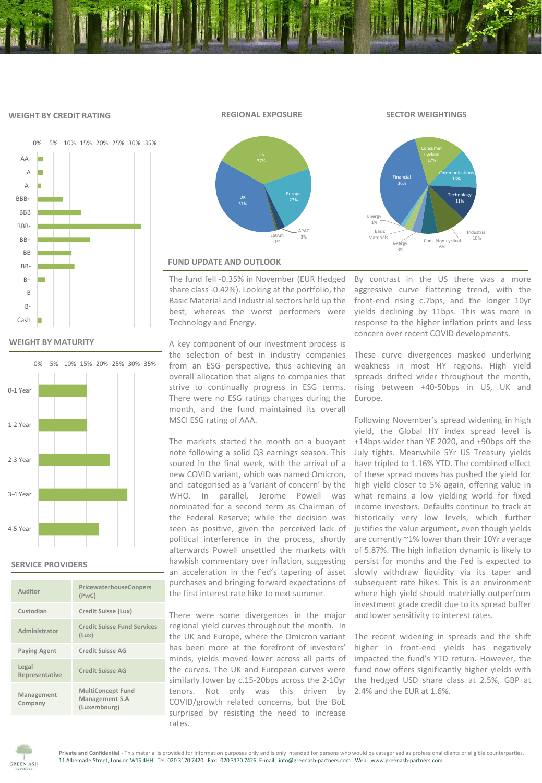# **WEIGHT BY CREDIT RATING**



# **WEIGHT BY MATURITY**



# **SERVICE PROVIDERS**

| Auditor                 | PricewaterhouseCoopers<br>(PWC)                            |
|-------------------------|------------------------------------------------------------|
| Custodian               | Credit Suisse (Lux)                                        |
| Administrator           | <b>Credit Suisse Fund Services</b><br>(Lux)                |
| <b>Paying Agent</b>     | Credit Suisse AG                                           |
| Legal<br>Representative | <b>Credit Suisse AG</b>                                    |
| Management<br>Company   | <b>MultiConcept Fund</b><br>Management S.A<br>(Luxembourg) |



# **FUND UPDATE AND OUTLOOK**

The fund fell -0.35% in November (EUR Hedged share class -0.42%). Looking at the portfolio, the Basic Material and Industrial sectors held up the best, whereas the worst performers were Technology and Energy.

A key component of our investment process is the selection of best in industry companies from an ESG perspective, thus achieving an overall allocation that aligns to companies that strive to continually progress in ESG terms. There were no ESG ratings changes during the month, and the fund maintained its overall MSCI ESG rating of AAA.

The markets started the month on a buoyant note following a solid Q3 earnings season. This soured in the final week, with the arrival of a new COVID variant, which was named Omicron, and categorised as a 'variant of concern' by the WHO. In parallel, Jerome Powell was nominated for a second term as Chairman of the Federal Reserve; while the decision was seen as positive, given the perceived lack of political interference in the process, shortly afterwards Powell unsettled the markets with hawkish commentary over inflation, suggesting an acceleration in the Fed's tapering of asset purchases and bringing forward expectations of the first interest rate hike to next summer.

There were some divergences in the major regional yield curves throughout the month. In the UK and Europe, where the Omicron variant has been more at the forefront of investors' minds, yields moved lower across all parts of the curves. The UK and European curves were similarly lower by c.15-20bps across the 2-10yr tenors. Not only was this driven by COVID/growth related concerns, but the BoE surprised by resisting the need to increase rates.

By contrast in the US there was a more aggressive curve flattening trend, with the front-end rising c.7bps, and the longer 10yr yields declining by 11bps. This was more in response to the higher inflation prints and less concern over recent COVID developments.

Cons. Non-cycl 6%

Communications

**Technology** 11%

Industrial

These curve divergences masked underlying weakness in most HY regions. High yield spreads drifted wider throughout the month, rising between +40-50bps in US, UK and Europe.

Following November's spread widening in high yield, the Global HY index spread level is +14bps wider than YE 2020, and +90bps off the July tights. Meanwhile 5Yr US Treasury yields have tripled to 1.16% YTD. The combined effect of these spread moves has pushed the yield for high yield closer to 5% again, offering value in what remains a low yielding world for fixed income investors. Defaults continue to track at historically very low levels, which further justifies the value argument, even though yields are currently ~1% lower than their 10Yr average of 5.87%. The high inflation dynamic is likely to persist for months and the Fed is expected to slowly withdraw liquidity via its taper and subsequent rate hikes. This is an environment where high yield should materially outperform investment grade credit due to its spread buffer and lower sensitivity to interest rates.

The recent widening in spreads and the shift higher in front-end yields has negatively impacted the fund's YTD return. However, the fund now offers significantly higher yields with the hedged USD share class at 2.5%, GBP at 2.4% and the EUR at 1.6%.



**REGIONAL EXPOSURE SECTOR WEIGHTINGS**

Financial

Energy 3%

Basic Materials…

Energy 1%